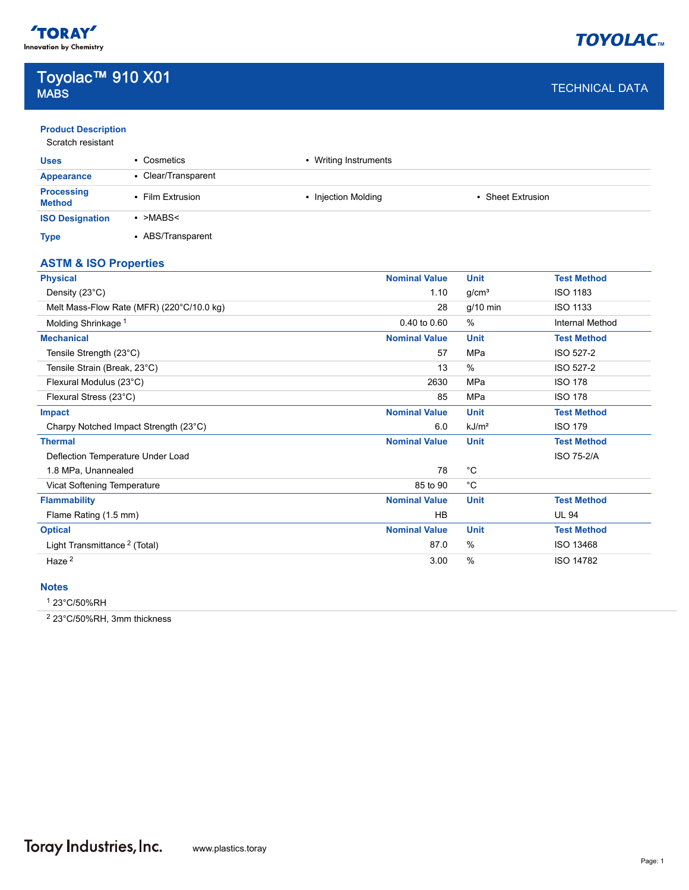

# Toyolac™ 910 X01 **MABS** And the contract of the contract of the contract of the contract of the contract of the contract DATA  $\sim$

| <b>Product Description</b> |  |  |  |
|----------------------------|--|--|--|
|                            |  |  |  |

| <b>Uses</b>                        | • Cosmetics         | • Writing Instruments |                        |  |
|------------------------------------|---------------------|-----------------------|------------------------|--|
| Appearance                         | • Clear/Transparent |                       |                        |  |
| <b>Processing</b><br><b>Method</b> | • Film Extrusion    | • Injection Molding   | <b>Sheet Extrusion</b> |  |
| <b>ISO Designation</b>             | $\cdot$ >MABS<      |                       |                        |  |
| <b>Type</b>                        | • ABS/Transparent   |                       |                        |  |

## **ASTM & ISO Properties**

| <b>Physical</b>                           | <b>Nominal Value</b> | <b>Unit</b>       | <b>Test Method</b>     |
|-------------------------------------------|----------------------|-------------------|------------------------|
| Density (23°C)                            | 1.10                 | g/cm <sup>3</sup> | <b>ISO 1183</b>        |
| Melt Mass-Flow Rate (MFR) (220°C/10.0 kg) | 28                   | $g/10$ min        | <b>ISO 1133</b>        |
| Molding Shrinkage <sup>1</sup>            | 0.40 to 0.60         | $\%$              | <b>Internal Method</b> |
| <b>Mechanical</b>                         | <b>Nominal Value</b> | <b>Unit</b>       | <b>Test Method</b>     |
| Tensile Strength (23°C)                   | 57                   | MPa               | ISO 527-2              |
| Tensile Strain (Break, 23°C)              | 13                   | $\%$              | ISO 527-2              |
| Flexural Modulus (23°C)                   | 2630                 | MPa               | <b>ISO 178</b>         |
| Flexural Stress (23°C)                    | 85                   | MPa               | <b>ISO 178</b>         |
| Impact                                    | <b>Nominal Value</b> | <b>Unit</b>       | <b>Test Method</b>     |
| Charpy Notched Impact Strength (23°C)     | 6.0                  | kJ/m <sup>2</sup> | <b>ISO 179</b>         |
| <b>Thermal</b>                            | <b>Nominal Value</b> | <b>Unit</b>       | <b>Test Method</b>     |
| Deflection Temperature Under Load         |                      |                   | <b>ISO 75-2/A</b>      |
| 1.8 MPa, Unannealed                       | 78                   | $^{\circ}$ C      |                        |
| Vicat Softening Temperature               | 85 to 90             | °C                |                        |
| <b>Flammability</b>                       | <b>Nominal Value</b> | <b>Unit</b>       | <b>Test Method</b>     |
| Flame Rating (1.5 mm)                     | <b>HB</b>            |                   | <b>UL 94</b>           |
| <b>Optical</b>                            | <b>Nominal Value</b> | <b>Unit</b>       | <b>Test Method</b>     |
| Light Transmittance <sup>2</sup> (Total)  | 87.0                 | %                 | ISO 13468              |
| Haze <sup>2</sup>                         | 3.00                 | %                 | ISO 14782              |

## **Notes**

1 23°C/50%RH

2 23°C/50%RH, 3mm thickness